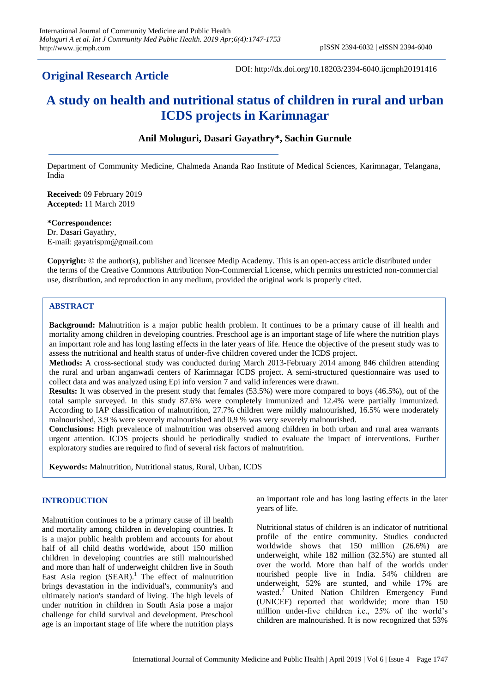# **Original Research Article**

DOI: http://dx.doi.org/10.18203/2394-6040.ijcmph20191416

# **A study on health and nutritional status of children in rural and urban ICDS projects in Karimnagar**

# **Anil Moluguri, Dasari Gayathry\*, Sachin Gurnule**

Department of Community Medicine, Chalmeda Ananda Rao Institute of Medical Sciences, Karimnagar, Telangana, India

**Received:** 09 February 2019 **Accepted:** 11 March 2019

**\*Correspondence:** Dr. Dasari Gayathry, E-mail: gayatrispm@gmail.com

**Copyright:** © the author(s), publisher and licensee Medip Academy. This is an open-access article distributed under the terms of the Creative Commons Attribution Non-Commercial License, which permits unrestricted non-commercial use, distribution, and reproduction in any medium, provided the original work is properly cited.

## **ABSTRACT**

**Background:** Malnutrition is a major public health problem. It continues to be a primary cause of ill health and mortality among children in developing countries. Preschool age is an important stage of life where the nutrition plays an important role and has long lasting effects in the later years of life. Hence the objective of the present study was to assess the nutritional and health status of under-five children covered under the ICDS project.

**Methods:** A cross-sectional study was conducted during March 2013-February 2014 among 846 children attending the rural and urban anganwadi centers of Karimnagar ICDS project. A semi-structured questionnaire was used to collect data and was analyzed using Epi info version 7 and valid inferences were drawn.

**Results:** It was observed in the present study that females (53.5%) were more compared to boys (46.5%), out of the total sample surveyed. In this study 87.6% were completely immunized and 12.4% were partially immunized. According to IAP classification of malnutrition, 27.7% children were mildly malnourished, 16.5% were moderately malnourished, 3.9 % were severely malnourished and 0.9 % was very severely malnourished.

**Conclusions:** High prevalence of malnutrition was observed among children in both urban and rural area warrants urgent attention. ICDS projects should be periodically studied to evaluate the impact of interventions. Further exploratory studies are required to find of several risk factors of malnutrition.

**Keywords:** Malnutrition, Nutritional status, Rural, Urban, ICDS

#### **INTRODUCTION**

Malnutrition continues to be a primary cause of ill health and mortality among children in developing countries. It is a major public health problem and accounts for about half of all child deaths worldwide, about 150 million children in developing countries are still malnourished and more than half of underweight children live in South East Asia region  $(SEAR)$ .<sup>1</sup> The effect of malnutrition brings devastation in the individual's, community's and ultimately nation's standard of living. The high levels of under nutrition in children in South Asia pose a major challenge for child survival and development. Preschool age is an important stage of life where the nutrition plays

an important role and has long lasting effects in the later years of life.

Nutritional status of children is an indicator of nutritional profile of the entire community. Studies conducted worldwide shows that 150 million (26.6%) are underweight, while 182 million (32.5%) are stunted all over the world. More than half of the worlds under nourished people live in India. 54% children are underweight, 52% are stunted, and while 17% are wasted.<sup>2</sup> United Nation Children Emergency Fund (UNICEF) reported that worldwide; more than 150 million under-five children i.e., 25% of the world's children are malnourished. It is now recognized that 53%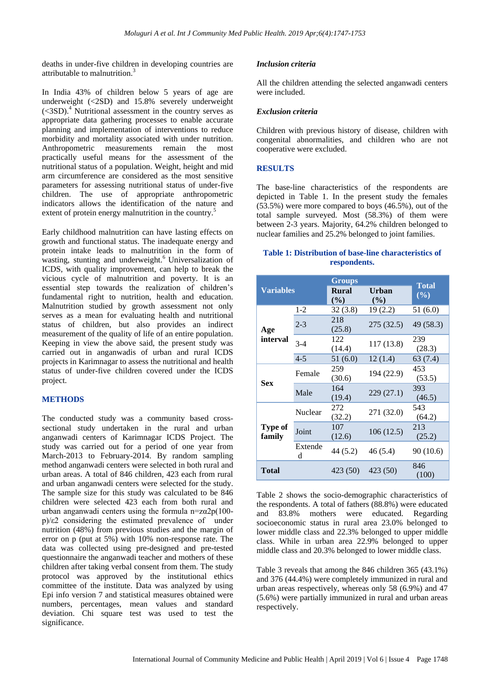deaths in under-five children in developing countries are attributable to malnutrition.<sup>3</sup>

In India 43% of children below 5 years of age are underweight (<2SD) and 15.8% severely underweight  $(<3SD$ <sup>4</sup> *Nutritical assessment in the country serves as*appropriate data gathering processes to enable accurate planning and implementation of interventions to reduce morbidity and mortality associated with under nutrition. Anthropometric measurements remain the most practically useful means for the assessment of the nutritional status of a population. Weight, height and mid arm circumference are considered as the most sensitive parameters for assessing nutritional status of under-five children. The use of appropriate anthropometric indicators allows the identification of the nature and extent of protein energy malnutrition in the country.<sup>5</sup>

Early childhood malnutrition can have lasting effects on growth and functional status. The inadequate energy and protein intake leads to malnutrition in the form of wasting, stunting and underweight.<sup>6</sup> Universalization of ICDS, with quality improvement, can help to break the vicious cycle of malnutrition and poverty. It is an essential step towards the realization of children's fundamental right to nutrition, health and education. Malnutrition studied by growth assessment not only serves as a mean for evaluating health and nutritional status of children, but also provides an indirect measurement of the quality of life of an entire population. Keeping in view the above said, the present study was carried out in anganwadis of urban and rural ICDS projects in Karimnagar to assess the nutritional and health status of under-five children covered under the ICDS project.

#### **METHODS**

The conducted study was a community based crosssectional study undertaken in the rural and urban anganwadi centers of Karimnagar ICDS Project. The study was carried out for a period of one year from March-2013 to February-2014. By random sampling method anganwadi centers were selected in both rural and urban areas. A total of 846 children, 423 each from rural and urban anganwadi centers were selected for the study. The sample size for this study was calculated to be 846 children were selected 423 each from both rural and urban anganwadi centers using the formula n= $z\alpha/2p(100$ p)/ε2 considering the estimated prevalence of under nutrition (48%) from previous studies and the margin of error on p (put at 5%) with 10% non-response rate. The data was collected using pre-designed and pre-tested questionnaire the anganwadi teacher and mothers of these children after taking verbal consent from them. The study protocol was approved by the institutional ethics committee of the institute. Data was analyzed by using Epi info version 7 and statistical measures obtained were numbers, percentages, mean values and standard deviation. Chi square test was used to test the significance.

#### *Inclusion criteria*

All the children attending the selected anganwadi centers were included.

#### *Exclusion criteria*

Children with previous history of disease, children with congenital abnormalities, and children who are not cooperative were excluded.

#### **RESULTS**

The base-line characteristics of the respondents are depicted in Table 1. In the present study the females  $(53.5\%)$  were more compared to boys  $(46.5\%)$ , out of the total sample surveyed. Most (58.3%) of them were between 2-3 years. Majority, 64.2% children belonged to nuclear families and 25.2% belonged to joint families.

#### **Table 1: Distribution of base-line characteristics of respondents.**

| <b>Variables</b>  |              | <b>Groups</b>          |                        |                        |
|-------------------|--------------|------------------------|------------------------|------------------------|
|                   |              | <b>Rural</b><br>$($ %) | <b>Urban</b><br>$($ %) | <b>Total</b><br>$(\%)$ |
| Age<br>interval   | $1 - 2$      | 32(3.8)                | 19(2.2)                | 51 (6.0)               |
|                   | $2 - 3$      | 218<br>(25.8)          | 275 (32.5)             | 49 (58.3)              |
|                   | $3-4$        | 122<br>(14.4)          | 117 (13.8)             | 239<br>(28.3)          |
|                   | $4 - 5$      | 51 (6.0)               | 12(1.4)                | 63 (7.4)               |
| <b>Sex</b>        | Female       | 259<br>(30.6)          | 194 (22.9)             | 453<br>(53.5)          |
|                   | Male         | 164<br>(19.4)          | 229(27.1)              | 393<br>(46.5)          |
|                   | Nuclear      | 272<br>(32.2)          | 271 (32.0)             | 543<br>(64.2)          |
| Type of<br>family | Joint        | 107<br>(12.6)          | 106(12.5)              | 213<br>(25.2)          |
|                   | Extende<br>d | 44 (5.2)               | 46 (5.4)               | 90 (10.6)              |
| <b>Total</b>      |              | 423 (50)               | 423 (50)               | 846<br>(100)           |

Table 2 shows the socio-demographic characteristics of the respondents. A total of fathers (88.8%) were educated and 83.8% mothers were educated. Regarding socioeconomic status in rural area 23.0% belonged to lower middle class and 22.3% belonged to upper middle class. While in urban area 22.9% belonged to upper middle class and 20.3% belonged to lower middle class.

Table 3 reveals that among the 846 children 365 (43.1%) and 376 (44.4%) were completely immunized in rural and urban areas respectively, whereas only 58 (6.9%) and 47 (5.6%) were partially immunized in rural and urban areas respectively.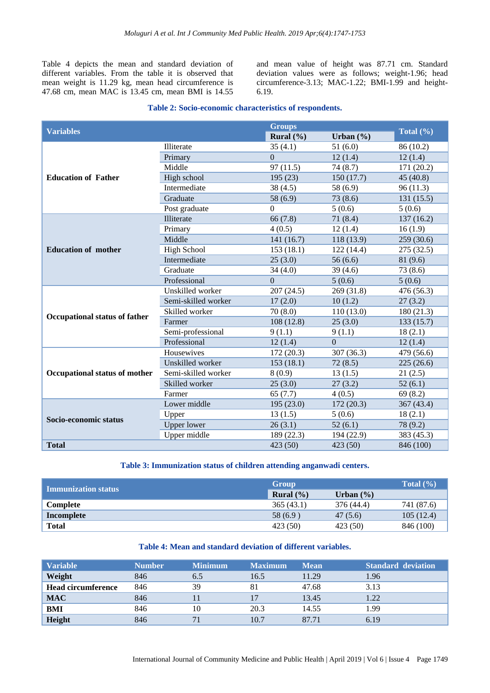Table 4 depicts the mean and standard deviation of different variables. From the table it is observed that mean weight is 11.29 kg, mean head circumference is 47.68 cm, mean MAC is 13.45 cm, mean BMI is 14.55

and mean value of height was 87.71 cm. Standard deviation values were as follows; weight-1.96; head circumference-3.13; MAC-1.22; BMI-1.99 and height-6.19.

#### **Table 2: Socio-economic characteristics of respondents.**

|                               |                     | <b>Groups</b> |               |               |
|-------------------------------|---------------------|---------------|---------------|---------------|
| <b>Variables</b>              |                     | Rural $(\% )$ | Urban $(\% )$ | Total $(\% )$ |
|                               | Illiterate          | 35(4.1)       | 51(6.0)       | 86 (10.2)     |
|                               | Primary             | $\theta$      | 12(1.4)       | 12(1.4)       |
|                               | Middle              | 97(11.5)      | 74(8.7)       | 171 (20.2)    |
| <b>Education of Father</b>    | High school         | 195(23)       | 150(17.7)     | 45 (40.8)     |
|                               | Intermediate        | 38(4.5)       | 58 (6.9)      | 96(11.3)      |
|                               | Graduate            | 58 (6.9)      | 73(8.6)       | 131 (15.5)    |
|                               | Post graduate       | $\mathbf{0}$  | 5(0.6)        | 5(0.6)        |
|                               | Illiterate          | 66(7.8)       | 71(8.4)       | 137 (16.2)    |
|                               | Primary             | 4(0.5)        | 12(1.4)       | 16(1.9)       |
|                               | Middle              | 141(16.7)     | 118 (13.9)    | 259(30.6)     |
| <b>Education of mother</b>    | <b>High School</b>  | 153(18.1)     | 122 (14.4)    | 275(32.5)     |
|                               | Intermediate        | 25(3.0)       | 56(6.6)       | 81 (9.6)      |
|                               | Graduate            | 34(4.0)       | 39(4.6)       | 73 (8.6)      |
|                               | Professional        | $\Omega$      | 5(0.6)        | 5(0.6)        |
|                               | Unskilled worker    | 207(24.5)     | 269 (31.8)    | 476 (56.3)    |
|                               | Semi-skilled worker | 17(2.0)       | 10(1.2)       | 27(3.2)       |
|                               | Skilled worker      | 70(8.0)       | 110(13.0)     | 180 (21.3)    |
| Occupational status of father | Farmer              | 108(12.8)     | 25(3.0)       | 133(15.7)     |
|                               | Semi-professional   | 9(1.1)        | 9(1.1)        | 18(2.1)       |
|                               | Professional        | 12(1.4)       | $\Omega$      | 12(1.4)       |
|                               | Housewives          | 172(20.3)     | 307 (36.3)    | 479 (56.6)    |
|                               | Unskilled worker    | 153(18.1)     | 72(8.5)       | 225(26.6)     |
| Occupational status of mother | Semi-skilled worker | 8(0.9)        | 13(1.5)       | 21(2.5)       |
|                               | Skilled worker      | 25(3.0)       | 27(3.2)       | 52(6.1)       |
|                               | Farmer              | 65(7.7)       | 4(0.5)        | 69 (8.2)      |
|                               | Lower middle        | 195 (23.0)    | 172(20.3)     | 367 (43.4)    |
| Socio-economic status         | Upper               | 13(1.5)       | 5(0.6)        | 18(2.1)       |
|                               | <b>Upper lower</b>  | 26(3.1)       | 52(6.1)       | 78 (9.2)      |
|                               | Upper middle        | 189 (22.3)    | 194 (22.9)    | 383 (45.3)    |
| <b>Total</b>                  |                     | 423 (50)      | 423 (50)      | 846 (100)     |

#### **Table 3: Immunization status of children attending anganwadi centers.**

|                            | Group                |               | Total $(\% )$ |
|----------------------------|----------------------|---------------|---------------|
| <b>Immunization status</b> | <b>Rural</b> $(\% )$ | Urban $(\% )$ |               |
| Complete                   | 365(43.1)            | 376 (44.4)    | 741 (87.6)    |
| Incomplete                 | 58(6.9)              | 47(5.6)       | 105(12.4)     |
| <b>Total</b>               | 423 (50)             | 423 (50)      | 846 (100)     |

#### **Table 4: Mean and standard deviation of different variables.**

| <b>Variable</b>           | <b>Number</b> | <b>Minimum</b> | <b>Maximum</b> | <b>Mean</b> | <b>Standard deviation</b> |
|---------------------------|---------------|----------------|----------------|-------------|---------------------------|
| Weight                    | 846           | 6.5            | 16.5           | 11.29       | 1.96                      |
| <b>Head circumference</b> | 846           | 39             |                | 47.68       | 3.13                      |
| <b>MAC</b>                | 846           |                |                | 13.45       | 1.22                      |
| <b>BMI</b>                | 846           | 10             | 20.3           | 14.55       | 1.99                      |
| Height                    | 846           | 71             | 10.7           | 87.71       | 6.19                      |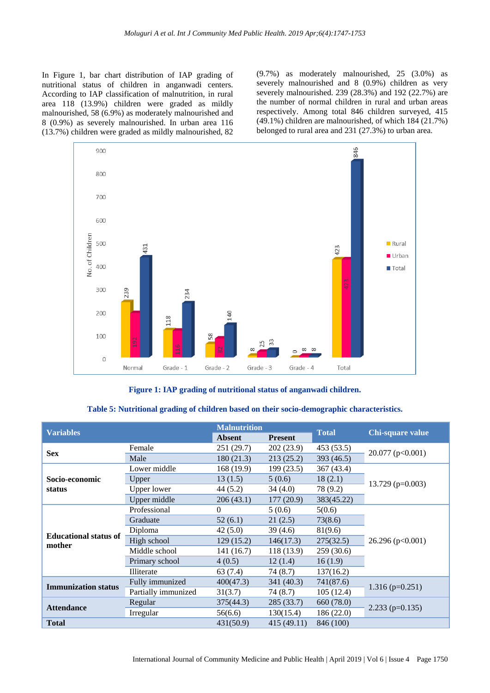In Figure 1, bar chart distribution of IAP grading of nutritional status of children in anganwadi centers. According to IAP classification of malnutrition, in rural area 118 (13.9%) children were graded as mildly malnourished, 58 (6.9%) as moderately malnourished and 8 (0.9%) as severely malnourished. In urban area 116 (13.7%) children were graded as mildly malnourished, 82

(9.7%) as moderately malnourished, 25 (3.0%) as severely malnourished and 8 (0.9%) children as very severely malnourished. 239 (28.3%) and 192 (22.7%) are the number of normal children in rural and urban areas respectively. Among total 846 children surveyed, 415 (49.1%) children are malnourished, of which 184 (21.7%) belonged to rural area and 231 (27.3%) to urban area.



**Figure 1: IAP grading of nutritional status of anganwadi children.**

### **Table 5: Nutritional grading of children based on their socio-demographic characteristics.**

| <b>Variables</b>                       |                     | <b>Malnutrition</b> |                | <b>Total</b> | Chi-square value   |  |
|----------------------------------------|---------------------|---------------------|----------------|--------------|--------------------|--|
|                                        |                     | <b>Absent</b>       | <b>Present</b> |              |                    |  |
| <b>Sex</b>                             | Female              | 251 (29.7)          | 202 (23.9)     | 453 (53.5)   | 20.077 (p<0.001)   |  |
|                                        | Male                | 180(21.3)           | 213(25.2)      | 393 (46.5)   |                    |  |
|                                        | Lower middle        | 168(19.9)           | 199(23.5)      | 367(43.4)    | $13.729$ (p=0.003) |  |
| Socio-economic                         | Upper               | 13(1.5)             | 5(0.6)         | 18(2.1)      |                    |  |
| status                                 | Upper lower         | 44 (5.2)            | 34(4.0)        | 78 (9.2)     |                    |  |
|                                        | Upper middle        | 206(43.1)           | 177(20.9)      | 383(45.22)   |                    |  |
| <b>Educational status of</b><br>mother | Professional        | $\theta$            | 5(0.6)         | 5(0.6)       |                    |  |
|                                        | Graduate            | 52(6.1)             | 21(2.5)        | 73(8.6)      | 26.296 (p<0.001)   |  |
|                                        | Diploma             | 42(5.0)             | 39 (4.6)       | 81(9.6)      |                    |  |
|                                        | High school         | 129(15.2)           | 146(17.3)      | 275(32.5)    |                    |  |
|                                        | Middle school       | 141 (16.7)          | 118(13.9)      | 259(30.6)    |                    |  |
|                                        | Primary school      | 4(0.5)              | 12(1.4)        | 16(1.9)      |                    |  |
|                                        | Illiterate          | 63 (7.4)            | 74 (8.7)       | 137(16.2)    |                    |  |
| <b>Immunization status</b>             | Fully immunized     | 400(47.3)           | 341 (40.3)     | 741(87.6)    | $1.316$ (p=0.251)  |  |
|                                        | Partially immunized | 31(3.7)             | 74(8.7)        | 105(12.4)    |                    |  |
| <b>Attendance</b>                      | Regular             | 375(44.3)           | 285(33.7)      | 660 (78.0)   |                    |  |
|                                        | Irregular           | 56(6.6)             | 130(15.4)      | 186(22.0)    | $2.233$ (p=0.135)  |  |
| <b>Total</b>                           |                     | 431(50.9)           | 415 (49.11)    | 846 (100)    |                    |  |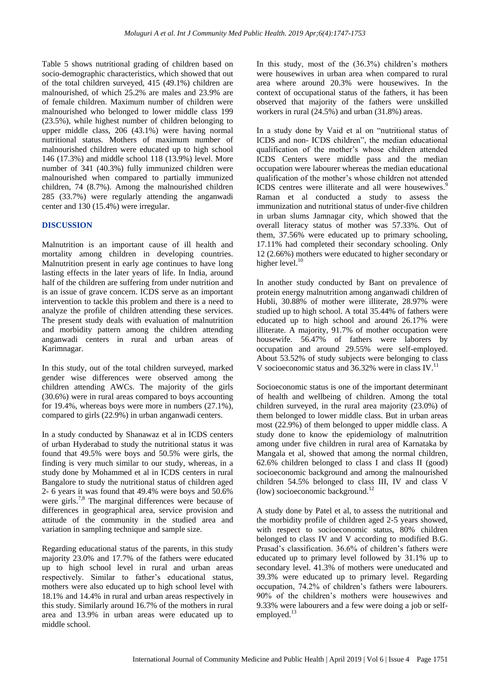Table 5 shows nutritional grading of children based on socio-demographic characteristics, which showed that out of the total children surveyed, 415 (49.1%) children are malnourished, of which 25.2% are males and 23.9% are of female children. Maximum number of children were malnourished who belonged to lower middle class 199 (23.5%), while highest number of children belonging to upper middle class, 206 (43.1%) were having normal nutritional status. Mothers of maximum number of malnourished children were educated up to high school 146 (17.3%) and middle school 118 (13.9%) level. More number of 341 (40.3%) fully immunized children were malnourished when compared to partially immunized children, 74 (8.7%). Among the malnourished children 285 (33.7%) were regularly attending the anganwadi center and 130 (15.4%) were irregular.

#### **DISCUSSION**

Malnutrition is an important cause of ill health and mortality among children in developing countries. Malnutrition present in early age continues to have long lasting effects in the later years of life. In India, around half of the children are suffering from under nutrition and is an issue of grave concern. ICDS serve as an important intervention to tackle this problem and there is a need to analyze the profile of children attending these services. The present study deals with evaluation of malnutrition and morbidity pattern among the children attending anganwadi centers in rural and urban areas of Karimnagar.

In this study, out of the total children surveyed, marked gender wise differences were observed among the children attending AWCs. The majority of the girls (30.6%) were in rural areas compared to boys accounting for 19.4%, whereas boys were more in numbers (27.1%), compared to girls (22.9%) in urban anganwadi centers.

In a study conducted by Shanawaz et al in ICDS centers of urban Hyderabad to study the nutritional status it was found that 49.5% were boys and 50.5% were girls, the finding is very much similar to our study, whereas, in a study done by Mohammed et al in ICDS centers in rural Bangalore to study the nutritional status of children aged 2- 6 years it was found that 49.4% were boys and 50.6% were girls.<sup>7,8</sup> The marginal differences were because of differences in geographical area, service provision and attitude of the community in the studied area and variation in sampling technique and sample size.

Regarding educational status of the parents, in this study majority 23.0% and 17.7% of the fathers were educated up to high school level in rural and urban areas respectively. Similar to father's educational status, mothers were also educated up to high school level with 18.1% and 14.4% in rural and urban areas respectively in this study. Similarly around 16.7% of the mothers in rural area and 13.9% in urban areas were educated up to middle school.

In this study, most of the (36.3%) children's mothers were housewives in urban area when compared to rural area where around 20.3% were housewives. In the context of occupational status of the fathers, it has been observed that majority of the fathers were unskilled workers in rural (24.5%) and urban (31.8%) areas.

In a study done by Vaid et al on "nutritional status of ICDS and non- ICDS children", the median educational qualification of the mother's whose children attended ICDS Centers were middle pass and the median occupation were labourer whereas the median educational qualification of the mother's whose children not attended ICDS centres were illiterate and all were housewives.<sup>9</sup> Raman et al conducted a study to assess the immunization and nutritional status of under-five children in urban slums Jamnagar city, which showed that the overall literacy status of mother was 57.33%. Out of them, 37.56% were educated up to primary schooling, 17.11% had completed their secondary schooling. Only 12 (2.66%) mothers were educated to higher secondary or higher level.<sup>10</sup>

In another study conducted by Bant on prevalence of protein energy malnutrition among anganwadi children of Hubli, 30.88% of mother were illiterate, 28.97% were studied up to high school. A total 35.44% of fathers were educated up to high school and around 26.17% were illiterate. A majority, 91.7% of mother occupation were housewife. 56.47% of fathers were laborers by occupation and around 29.55% were self-employed. About 53.52% of study subjects were belonging to class V socioeconomic status and 36.32% were in class IV.<sup>11</sup>

Socioeconomic status is one of the important determinant of health and wellbeing of children. Among the total children surveyed, in the rural area majority (23.0%) of them belonged to lower middle class. But in urban areas most (22.9%) of them belonged to upper middle class. A study done to know the epidemiology of malnutrition among under five children in rural area of Karnataka by Mangala et al, showed that among the normal children, 62.6% children belonged to class I and class II (good) socioeconomic background and among the malnourished children 54.5% belonged to class III, IV and class V (low) socioeconomic background.<sup>12</sup>

A study done by Patel et al, to assess the nutritional and the morbidity profile of children aged 2-5 years showed, with respect to socioeconomic status, 80% children belonged to class IV and V according to modified B.G. Prasad's classification. 36.6% of children's fathers were educated up to primary level followed by 31.1% up to secondary level. 41.3% of mothers were uneducated and 39.3% were educated up to primary level. Regarding occupation, 74.2% of children's fathers were labourers. 90% of the children's mothers were housewives and 9.33% were labourers and a few were doing a job or selfemployed. $13$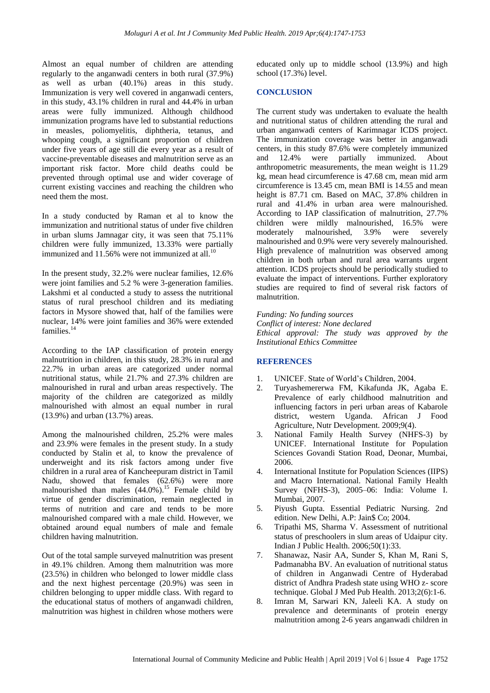Almost an equal number of children are attending regularly to the anganwadi centers in both rural (37.9%) as well as urban (40.1%) areas in this study. Immunization is very well covered in anganwadi centers, in this study, 43.1% children in rural and 44.4% in urban areas were fully immunized. Although childhood immunization programs have led to substantial reductions in measles, poliomyelitis, diphtheria, tetanus, and whooping cough, a significant proportion of children under five years of age still die every year as a result of vaccine-preventable diseases and malnutrition serve as an important risk factor. More child deaths could be prevented through optimal use and wider coverage of current existing vaccines and reaching the children who need them the most.

In a study conducted by Raman et al to know the immunization and nutritional status of under five children in urban slums Jamnagar city, it was seen that 75.11% children were fully immunized, 13.33% were partially immunized and  $11.56%$  were not immunized at all.<sup>10</sup>

In the present study, 32.2% were nuclear families, 12.6% were joint families and 5.2 % were 3-generation families. Lakshmi et al conducted a study to assess the nutritional status of rural preschool children and its mediating factors in Mysore showed that, half of the families were nuclear, 14% were joint families and 36% were extended families.<sup>14</sup>

According to the IAP classification of protein energy malnutrition in children, in this study, 28.3% in rural and 22.7% in urban areas are categorized under normal nutritional status, while 21.7% and 27.3% children are malnourished in rural and urban areas respectively. The majority of the children are categorized as mildly malnourished with almost an equal number in rural (13.9%) and urban (13.7%) areas.

Among the malnourished children, 25.2% were males and 23.9% were females in the present study. In a study conducted by Stalin et al, to know the prevalence of underweight and its risk factors among under five children in a rural area of Kancheepuram district in Tamil Nadu, showed that females (62.6%) were more malnourished than males  $(44.0\%)$ .<sup>15</sup> Female child by virtue of gender discrimination, remain neglected in terms of nutrition and care and tends to be more malnourished compared with a male child. However, we obtained around equal numbers of male and female children having malnutrition.

Out of the total sample surveyed malnutrition was present in 49.1% children. Among them malnutrition was more (23.5%) in children who belonged to lower middle class and the next highest percentage (20.9%) was seen in children belonging to upper middle class. With regard to the educational status of mothers of anganwadi children, malnutrition was highest in children whose mothers were educated only up to middle school (13.9%) and high school (17.3%) level.

#### **CONCLUSION**

The current study was undertaken to evaluate the health and nutritional status of children attending the rural and urban anganwadi centers of Karimnagar ICDS project. The immunization coverage was better in anganwadi centers, in this study 87.6% were completely immunized and 12.4% were partially immunized. About anthropometric measurements, the mean weight is 11.29 kg, mean head circumference is 47.68 cm, mean mid arm circumference is 13.45 cm, mean BMI is 14.55 and mean height is 87.71 cm. Based on MAC, 37.8% children in rural and 41.4% in urban area were malnourished. According to IAP classification of malnutrition, 27.7% children were mildly malnourished, 16.5% were moderately malnourished, 3.9% were severely malnourished and 0.9% were very severely malnourished. High prevalence of malnutrition was observed among children in both urban and rural area warrants urgent attention. ICDS projects should be periodically studied to evaluate the impact of interventions. Further exploratory studies are required to find of several risk factors of malnutrition.

*Funding: No funding sources Conflict of interest: None declared Ethical approval: The study was approved by the Institutional Ethics Committee*

#### **REFERENCES**

- 1. UNICEF. State of World's Children, 2004.
- 2. Turyashemererwa FM, Kikafunda JK, Agaba E. Prevalence of early childhood malnutrition and influencing factors in peri urban areas of Kabarole district, western Uganda. African J Food Agriculture, Nutr Development. 2009;9(4).
- 3. National Family Health Survey (NHFS-3) by UNICEF. International Institute for Population Sciences Govandi Station Road, Deonar, Mumbai, 2006.
- 4. International Institute for Population Sciences (IIPS) and Macro International. National Family Health Survey (NFHS-3), 2005–06: India: Volume I. Mumbai, 2007.
- 5. Piyush Gupta. Essential Pediatric Nursing. 2nd edition. New Delhi, A.P: Jain\$ Co; 2004.
- 6. Tripathi MS, Sharma V. Assessment of nutritional status of preschoolers in slum areas of Udaipur city. Indian J Public Health. 2006;50(1):33.
- 7. Shanawaz, Nasir AA, Sunder S, Khan M, Rani S, Padmanabha BV. An evaluation of nutritional status of children in Anganwadi Centre of Hyderabad district of Andhra Pradesh state using WHO z- score technique. Global J Med Pub Health. 2013;2(6):1-6.
- 8. Imran M, Sarwari KN, Jaleeli KA. A study on prevalence and determinants of protein energy malnutrition among 2-6 years anganwadi children in